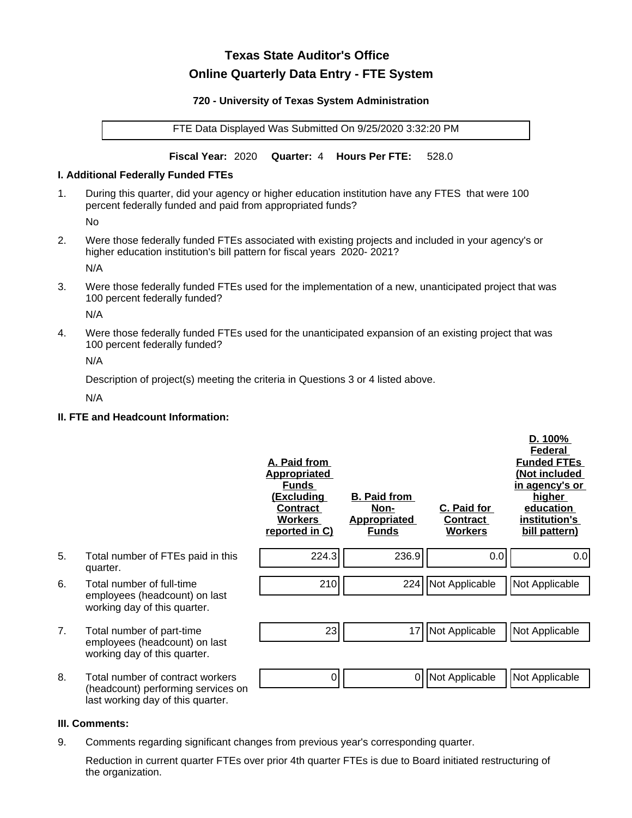# **Texas State Auditor's Office Online Quarterly Data Entry - FTE System**

#### **720 - University of Texas System Administration**

FTE Data Displayed Was Submitted On 9/25/2020 3:32:20 PM

**Fiscal Year:** 2020 **Quarter:** 4 **Hours Per FTE:** 528.0

#### **I. Additional Federally Funded FTEs**

1. During this quarter, did your agency or higher education institution have any FTES that were 100 percent federally funded and paid from appropriated funds?

No

2. Were those federally funded FTEs associated with existing projects and included in your agency's or higher education institution's bill pattern for fiscal years 2020- 2021?

N/A

3. Were those federally funded FTEs used for the implementation of a new, unanticipated project that was 100 percent federally funded?

N/A

4. Were those federally funded FTEs used for the unanticipated expansion of an existing project that was 100 percent federally funded?

N/A

Description of project(s) meeting the criteria in Questions 3 or 4 listed above.

N/A

## **II. FTE and Headcount Information:**

|    |                                                                                                             | A. Paid from<br><u>Appropriated</u><br><b>Funds</b><br><u>(Excluding</u><br><b>Contract</b><br><b>Workers</b><br>reported in C) | <b>B. Paid from</b><br>Non-<br><b>Appropriated</b><br><b>Funds</b> | C. Paid for<br>Contract<br><b>Workers</b> | D. 100%<br>Federal<br><b>Funded FTEs</b><br>(Not included<br>in agency's or<br>higher<br>education<br>institution's<br>bill pattern) |
|----|-------------------------------------------------------------------------------------------------------------|---------------------------------------------------------------------------------------------------------------------------------|--------------------------------------------------------------------|-------------------------------------------|--------------------------------------------------------------------------------------------------------------------------------------|
| 5. | Total number of FTEs paid in this<br>quarter.                                                               | 224.3                                                                                                                           | 236.9                                                              | 0.0                                       | 0.0                                                                                                                                  |
| 6. | Total number of full-time<br>employees (headcount) on last<br>working day of this quarter.                  | 210                                                                                                                             |                                                                    | 224   Not Applicable                      | Not Applicable                                                                                                                       |
| 7. | Total number of part-time<br>employees (headcount) on last<br>working day of this quarter.                  | 23                                                                                                                              | 17                                                                 | Not Applicable                            | Not Applicable                                                                                                                       |
| 8. | Total number of contract workers<br>(headcount) performing services on<br>last working day of this quarter. | 0                                                                                                                               | 0                                                                  | Not Applicable                            | Not Applicable                                                                                                                       |

## **III. Comments:**

9. Comments regarding significant changes from previous year's corresponding quarter.

Reduction in current quarter FTEs over prior 4th quarter FTEs is due to Board initiated restructuring of the organization.